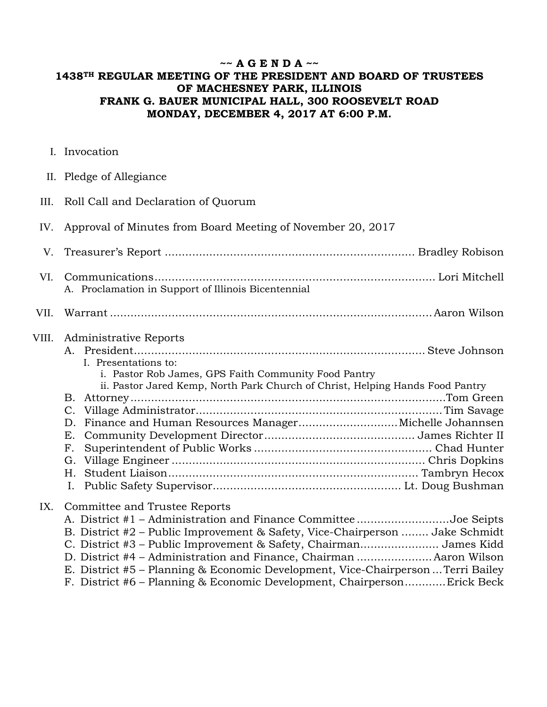## **~~ A G E N D A ~~ 1438TH REGULAR MEETING OF THE PRESIDENT AND BOARD OF TRUSTEES OF MACHESNEY PARK, ILLINOIS FRANK G. BAUER MUNICIPAL HALL, 300 ROOSEVELT ROAD MONDAY, DECEMBER 4, 2017 AT 6:00 P.M.**

I. Invocation

|  | II. Pledge of Allegiance |
|--|--------------------------|
|  |                          |

III. Roll Call and Declaration of Quorum

## IV. Approval of Minutes from Board Meeting of November 20, 2017

| VI.<br>A. Proclamation in Support of Illinois Bicentennial<br>VII.<br>VIII.<br>Administrative Reports<br>I. Presentations to:<br>i. Pastor Rob James, GPS Faith Community Food Pantry<br>ii. Pastor Jared Kemp, North Park Church of Christ, Helping Hands Food Pantry<br>В. |
|------------------------------------------------------------------------------------------------------------------------------------------------------------------------------------------------------------------------------------------------------------------------------|
|                                                                                                                                                                                                                                                                              |
|                                                                                                                                                                                                                                                                              |
| C.<br>Finance and Human Resources Manager Michelle Johannsen<br>D.<br>Е.<br>F.<br>G.<br>Н.                                                                                                                                                                                   |

## IX. Committee and Trustee Reports

| A. District #1 - Administration and Finance Committee Joe Seipts                 |  |
|----------------------------------------------------------------------------------|--|
| B. District #2 – Public Improvement & Safety, Vice-Chairperson  Jake Schmidt     |  |
| C. District #3 – Public Improvement & Safety, Chairman James Kidd                |  |
| D. District #4 - Administration and Finance, Chairman  Aaron Wilson              |  |
| E. District #5 – Planning & Economic Development, Vice-Chairperson  Terri Bailey |  |
| F. District #6 – Planning & Economic Development, ChairpersonErick Beck          |  |